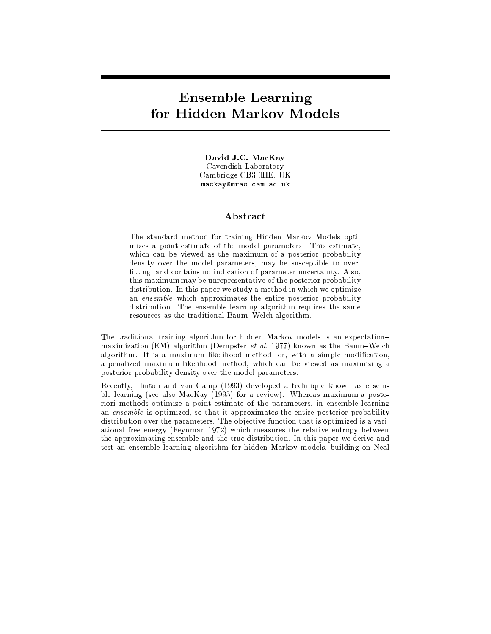# -  !

David J.C. MacKay Cavendish Laboratory Cambridge CB3 0HE. UK mackay@mrao.cam.ac.uk

## Abstract

The standard method for training Hidden Markov Models opti- $\blacksquare$ which can be viewed as the maximum of a posterior probability density over the model parameters, may be susceptible to overfitting, and contains no indication of parameter uncertainty. Also, this maximum may be unrepresentative of the posterior probability  $\mathbf{P}$  . As a set of the condition of the condition of the condition of the condition of the condition of the condition of the condition of the condition of the condition of the condition of the condition of the conditi  $8.4\pm0.1$  and  $8.4\pm0.1$  and  $8.4\pm0.1$  and  $8.4\pm0.1$  and  $8.4\pm0.1$  and  $8.4\pm0.1$  and  $8.4\pm0.1$  $\blacksquare$ resources as the traditional Baum-Welch algorithm.

The traditional training algorithm for hidden Markov models is an expectationmaximization (EM) algorithm (Dempster *et al.* 1977) known as the Baum–Welch  $\mathbf{H}=\mathbf{H}\mathbf{H}$  , and the set of the set of the set of the set of the set of the set of the set of the set of the set of the set of the set of the set of the set of the set of the set of the set of the set of the set  $\mathbb{R}$  , the state  $\mathbb{R}$  is the set of the parameter  $\mathbb{R}$  is the set of the set of the set of the set of the set of the set of the set of the set of the set of the set of the set of the set of the set of the set posterior probability density over the model parameters.

Recently, Hinton and van Camp (1993) developed a technique known as ensemble learning (see also MacKay  $(1995)$  for a review). Whereas maximum a posteriori methods optimize a point estimate of the parameters, in ensemble learning an ensemble is optimized, so that it approximates the entire posterior probability ?@BADNxKD@BGNx@BIL= IH:L<>KNxC<TJ8HKM8OQz<>Nx<>KDA;] vC\_<9ILGL¹k<>{ND@B:L<V}~\_=>ND@BI5=RNDC38ON@BAILNx@BQz@B><>?@BA8¶:L8OKD@  $\mathbf{R}^* = \mathbf{R}^*$  (Find  $\mathbf{R}^* = \mathbf{R}^*$  and  $\mathbf{R}^*$  and  $\mathbf{R}^*$  and  $\mathbf{R}^*$  and  $\mathbf{R}^*$  and  $\mathbf{R}^*$  and  $\mathbf{R}^*$  and  $\mathbf{R}^*$  and  $\mathbf{R}^*$  and  $\mathbf{R}^*$  and  $\mathbf{R}^*$  and  $\mathbf{R}^*$  and  $\mathbf{R$  $\mathbf{H} = \mathbf{R} \times \mathbf{R}$  , and  $\mathbf{R} = \mathbf{R} \times \mathbf{R}$  , and  $\mathbf{R} = \mathbf{R} \times \mathbf{R}$  , and  $\mathbf{R} = \mathbf{R} \times \mathbf{R}$  , and  $\mathbf{R} = \mathbf{R} \times \mathbf{R}$  , and  $\mathbf{R} = \mathbf{R} \times \mathbf{R}$  , and  $\mathbf{R} = \mathbf{R} \times \mathbf{R}$  , and test an ensemble learning algorithm for hidden Markov models, building on Neal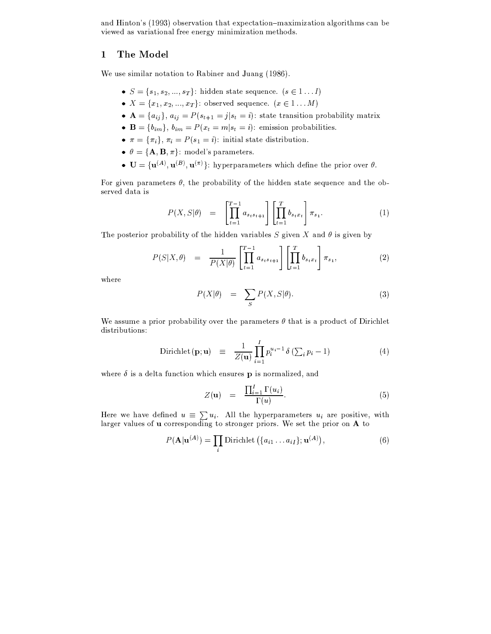and Hinton's (1993) observation that expectation-maximization algorithms can be viewed as variational free energy minimization methods.

#### $\mathbf{1}$ The Model

We use similar notation to Rabiner and Juang (1986).

- $S = \{s_1, s_2, ..., s_T\}$ : hidden state sequence.  $(s \in 1...I)$
- $X = \{x_1, x_2, ..., x_T\}$ : observed sequence.  $(x \in 1...M)$
- $\mathbf{A} = \{a_{ij}\}\,$ ,  $a_{ij} = P(s_{t+1} = j | s_t = i)$ : state transition probability matrix
- **B** = { $b_{im}$ },  $b_{im} = P(x_t = m | s_t = i)$ : emission probabilities.
- $\pi = {\pi_i}$ ,  $\pi_i = P(s_1 = i)$ : initial state distribution.
- $\theta = {\mathbf{A}, \mathbf{B}, \pi}$ : model's parameters.
- $\mathbf{U} = {\mathbf{u}^{(A)}, \mathbf{u}^{(B)}, \mathbf{u}^{(\pi)}}$ : hyperparameters which define the prior over  $\theta$ .

For given parameters  $\theta$ , the probability of the hidden state sequence and the observed data is

$$
P(X, S | \theta) = \left[ \prod_{t=1}^{T-1} a_{s_t s_{t+1}} \right] \left[ \prod_{t=1}^{T} b_{s_t x_t} \right] \pi_{s_1}.
$$
 (1)

The posterior probability of the hidden variables S given X and  $\theta$  is given by

$$
P(S|X, \theta) = \frac{1}{P(X|\theta)} \left[ \prod_{t=1}^{T-1} a_{s_ts_{t+1}} \right] \left[ \prod_{t=1}^{T} b_{s_tx_t} \right] \pi_{s_1}, \tag{2}
$$

where

$$
P(X|\theta) = \sum_{S} P(X, S|\theta). \tag{3}
$$

We assume a prior probability over the parameters  $\theta$  that is a product of Dirichlet distributions:

Dirichlet 
$$
(\mathbf{p}; \mathbf{u}) \equiv \frac{1}{Z(\mathbf{u})} \prod_{i=1}^{I} p_i^{u_i - 1} \delta \left( \sum_i p_i - 1 \right)
$$
 (4)

where  $\delta$  is a delta function which ensures p is normalized, and

$$
Z(\mathbf{u}) = \frac{\prod_{i=1}^{I} \Gamma(u_i)}{\Gamma(u)}.
$$
 (5)

Here we have defined  $u \equiv \sum u_i$ . All the hyperparameters  $u_i$  are positive, with larger values of **u** corresponding to stronger priors. We set the prior on **A** to

$$
P(\mathbf{A}|\mathbf{u}^{(A)}) = \prod_{i} \text{Dirichlet}\left(\{a_{i1} \ldots a_{iI}\}; \mathbf{u}^{(A)}\right),\tag{6}
$$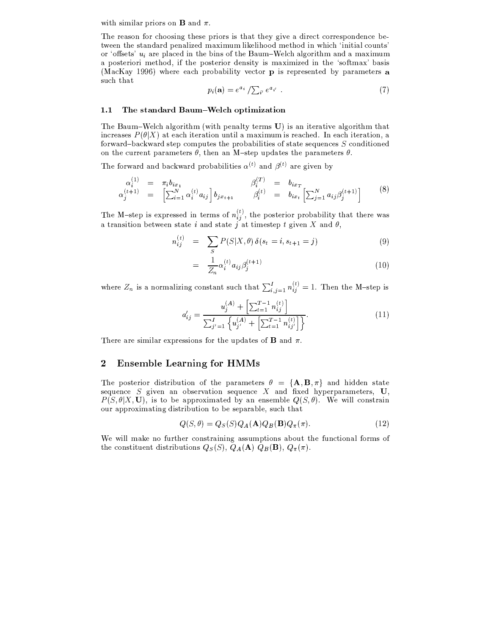with similar priors on **B** and  $\pi$ .

The reason for choosing these priors is that they give a direct correspondence between the standard penalized maximum likelihood method in which 'initial counts'  $I$  . In the set of  $\mathbf{W}$  is the set of  $\mathbf{W}$  in the  $I$  such as  $I$ a posteriori method, if the posterior density is maximized in the 'softmax' basis  $\langle {\bf M}\quad {\bf IZ} = 4.00$ e $\langle {\bf A} \rangle = 1$  in the set of the set of the  $N$ such that

$$
p_i(\mathbf{a}) = e^{a_i} / \sum_{i'} e^{a_{i'}} . \tag{7}
$$

### 1.1 The standard Baum-Welch optimization

The Baum–Welch algorithm (with penalty terms  $U$ ) is an iterative algorithm that  $\mathcal{B}=\mathcal{B}(\mathcal{B}(\mathbf{V}\setminus\mathbf{V}=\mathbf{V}=\mathbf{V}=\mathbf{V}^{\text{H}}=\mathbf{V}^{\text{H}}=\mathbf{V}^{\text{H}}=\mathbf{V}^{\text{H}}=\mathbf{I}^{\text{H}}=\mathbf{I}^{\text{H}}=\mathbf{I}^{\text{H}}=\mathbf{I}^{\text{H}}=\mathbf{I}^{\text{H}}$ forward-backward step computes the probabilities of state sequences  $S$  conditioned IL=NXC (NDC) And  $\mathbf{M}$  is the set of  $\mathbf{A}$ 

The forward and backward probabilities  $\alpha^{(t)}$  and  $\beta^{(t)}$  are given by

$$
\alpha_i^{(1)} = \pi_i b_{ix_1} \n\alpha_j^{(t+1)} = \left[ \sum_{i=1}^N \alpha_i^{(t)} a_{ij} \right] b_{jx_{t+1}} \qquad \beta_i^{(T)} = b_{ix_T} \n\beta_i^{(t)} = b_{ix_t} \left[ \sum_{j=1}^N a_{ij} \beta_j^{(t+1)} \right]
$$
\n(8)

The M step is expressed in terms of  $n^{(t)}$  the posterior probability that there were 8 NDKk8H=Ax@BND@BIL=\$G3<>N<><>=¨ADNM8OND< <sup>O</sup> 8H=?ADNk8HNx< <sup>J</sup> 8HN9Nx@BQz<>AxND<>32XS5@:5<>= / 8O=? \

$$
n_{ij}^{(t)} = \sum_{S} P(S|X,\theta) \, \delta(s_t = i, s_{t+1} = j) \tag{9}
$$

$$
= \frac{1}{Z_n} \alpha_i^{(t)} a_{ij} \beta_j^{(t+1)}
$$
(10)

where Z is a normalizing constant such that  $\sum_{i=1}^{L} n_i^{(t)} = 1$ . Then the M-step is

$$
a'_{ij} = \frac{u_j^{(A)} + \left[\sum_{t=1}^{T-1} n_{ij}^{(t)}\right]}{\sum_{j'=1}^{I} \left\{u_{j'}^{(A)} + \left[\sum_{t=1}^{T-1} n_{ij'}^{(t)}\right]\right\}}.
$$
\n(11)

 $\tau$  and the state of  $\tau$  and  $\tau$  and  $\tau$  and  $\tau$  and  $\tau$ 

### a pa lite in a province of the definition of the contract of the contract of the contract of the contract of t

The posterior distribution of the parameters  $\theta = {\bf A, B, \pi}$  and hidden state  $\alpha$  , the subset of  ${\bf v}$  is the set of  ${\bf v}$  in the set of  ${\bf v}$  $P(S, \theta | X, U)$ , is to be approximated by an ensemble  $Q(S, \theta)$ . We will constrain our approximating distribution to be separable, such that

$$
Q(S, \theta) = Q_S(S)Q_A(\mathbf{A})Q_B(\mathbf{B})Q_\pi(\pi).
$$
 (12)

We will make no further constraining assumptions about the functional forms of  $(S)$ ,  $Q_A(A)$ ,  $Q_B(B)$ ,  $Q_\pi(\pi)$ .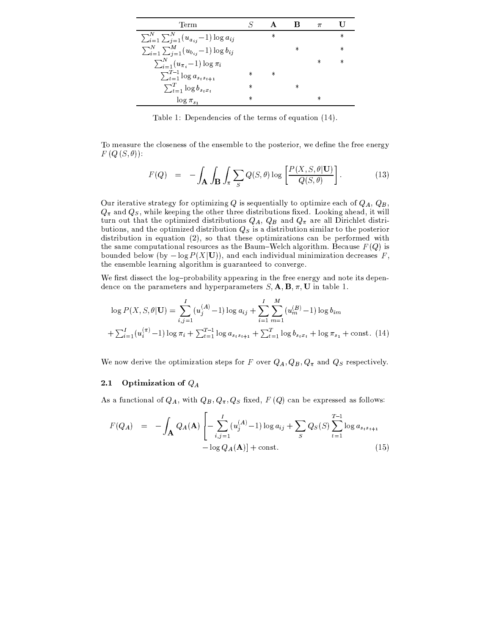| 'Term                                                        |        |        |        | π      |        |
|--------------------------------------------------------------|--------|--------|--------|--------|--------|
| $\sum_{i=1}^{N} \sum_{j=1}^{N} (u_{a_{ij}} - 1) \log a_{ij}$ |        | $\ast$ |        |        | $\ast$ |
| $\sum_{i=1}^{N} \sum_{j=1}^{M} (u_{b_{ij}}-1) \log b_{ij}$   |        |        | $\ast$ |        | $\ast$ |
| $\sum_{i=1}^{N} (u_{\pi_i} - 1) \log \pi_i$                  |        |        |        | $\ast$ | $\ast$ |
| $\sum_{t=1}^{T-1} \log a_{s_t s_{t+1}}$                      | $\ast$ | $\ast$ |        |        |        |
| $\sum_{t=1}^{T} \log b_{s_t x_t}$                            | $\ast$ |        | $\ast$ |        |        |
| $\log \pi_{s_1}$                                             | $\ast$ |        |        | $\ast$ |        |

Table 1: Dependencies of the terms of equation (14).

To measure the closeness of the ensemble to the posterior, we define the free energy  $F(Q(S, \theta))$ :

$$
F(Q) = -\int_{\mathbf{A}} \int_{\mathbf{B}} \int_{\pi} \sum_{S} Q(S, \theta) \log \left[ \frac{P(X, S, \theta | \mathbf{U})}{Q(S, \theta)} \right]. \tag{13}
$$

Our iterative strategy for optimizing Q is sequentially to optimize each of  $Q_A$ ,  $Q_B$ ,  $Q_{\pi}$  and  $Q_S$ , while keeping the other three distributions fixed. Looking ahead, it will turn out that the optimized distributions  $Q_A$ ,  $Q_B$  and  $Q_{\pi}$  are all Dirichlet distributions, and the optimized distribution  $Q_S$  is a distribution similar to the posterior distribution in equation (2), so that these optimizations can be performed with the same computational resources as the Baum-Welch algorithm. Because  $F(Q)$  is bounded below (by  $-\log P(X|U)$ ), and each individual minimization decreases F, the ensemble learning algorithm is guaranteed to converge.

We first dissect the log-probability appearing in the free energy and note its dependence on the parameters and hyperparameters  $S$ ,  $\mathbf{A}$ ,  $\mathbf{B}$ ,  $\pi$ , **U** in table 1.

$$
\log P(X, S, \theta | \mathbf{U}) = \sum_{i,j=1}^{I} (u_j^{(A)} - 1) \log a_{ij} + \sum_{i=1}^{I} \sum_{m=1}^{M} (u_m^{(B)} - 1) \log b_{im}
$$
  
+  $\sum_{i=1}^{I} (u_i^{(\pi)} - 1) \log \pi_i + \sum_{t=1}^{T-1} \log a_{s_t s_{t+1}} + \sum_{t=1}^{T} \log b_{s_t x_t} + \log \pi_{s_1} + \text{const.}$  (14)

We now derive the optimization steps for F over  $Q_A, Q_B, Q_\pi$  and  $Q_S$  respectively.

#### Optimization of  $Q_A$  $2.1$

As a functional of  $Q_A$ , with  $Q_B$ ,  $Q_\pi$ ,  $Q_S$  fixed,  $F(Q)$  can be expressed as follows:

$$
F(Q_A) = -\int_{\mathbf{A}} Q_A(\mathbf{A}) \left[ -\sum_{i,j=1}^I (u_j^{(A)} - 1) \log a_{ij} + \sum_S Q_S(S) \sum_{t=1}^{T-1} \log a_{s_ts_t+1} - \log Q_A(\mathbf{A}) \right] + \text{const.}
$$
\n(15)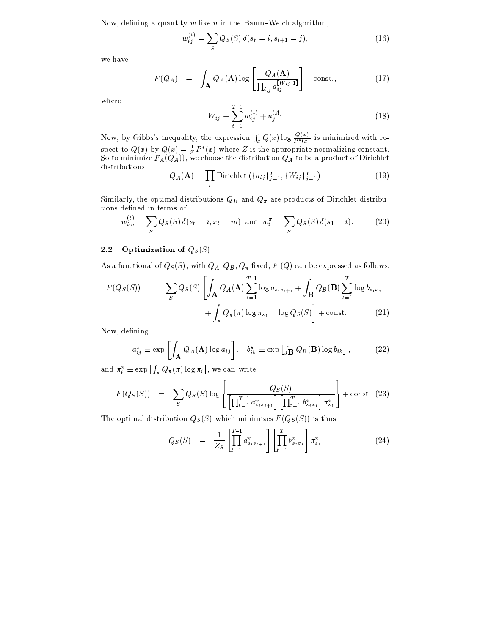Now, defining a quantity  $w$  like  $n$  in the Baum–Welch algorithm,

$$
w_{ij}^{(t)} = \sum_{S} Q_{S}(S) \,\delta(s_t = i, s_{t+1} = j),\tag{16}
$$

we have

$$
F(Q_A) = \int_{\mathbf{A}} Q_A(\mathbf{A}) \log \left[ \frac{Q_A(\mathbf{A})}{\prod_{i,j} a_{ij}^{[W_{ij}-1]}} \right] + \text{const.}, \tag{17}
$$

where

$$
W_{ij} \equiv \sum_{t=1}^{T-1} w_{ij}^{(t)} + u_j^{(A)}
$$
 (18)

Now, by Gibbs's inequality, the expression  $\int_x Q(x) \log \frac{Q(x)}{P^*(x)}$  is minimized with respect to  $Q(x)$  by  $Q(x) = \frac{1}{Z}P^*(x)$  where Z is the appropriate normalizing constant.<br>So to minimize  $F_A(Q_A)$ , we choose the distributio distributions:

$$
Q_A(\mathbf{A}) = \prod_i \text{Dirichlet}\left(\{a_{ij}\}_{j=1}^I; \{W_{ij}\}_{j=1}^I\right) \tag{19}
$$

Similarly, the optimal distributions  $Q_B$  and  $Q_\pi$  are products of Dirichlet distributions defined in terms of

$$
w_{im}^{(t)} = \sum_{S} Q_{S}(S) \, \delta(s_t = i, x_t = m) \text{ and } w_i^{\pi} = \sum_{S} Q_{S}(S) \, \delta(s_1 = i). \tag{20}
$$

#### $2.2$ Optimization of  $Q_S(S)$

As a functional of  $Q_S(S)$ , with  $Q_A$ ,  $Q_B$ ,  $Q_\pi$  fixed,  $F(Q)$  can be expressed as follows:

$$
F(Q_S(S)) = -\sum_{S} Q_S(S) \left[ \int_{\mathbf{A}} Q_A(\mathbf{A}) \sum_{t=1}^{T-1} \log a_{s_ts_{t+1}} + \int_{\mathbf{B}} Q_B(\mathbf{B}) \sum_{t=1}^{T} \log b_{s_tx_t} + \int_{\pi} Q_{\pi}(\pi) \log \pi_{s_1} - \log Q_S(S) \right] + \text{const.} \tag{21}
$$

Now, defining

$$
a_{ij}^{\star} \equiv \exp\left[\int_{\mathbf{A}} Q_A(\mathbf{A}) \log a_{ij}\right], \quad b_{ik}^{\star} \equiv \exp\left[\int_{\mathbf{B}} Q_B(\mathbf{B}) \log b_{ik}\right],\tag{22}
$$

and  $\pi_i^* \equiv \exp \left[ \int_{\pi} Q_{\pi}(\pi) \log \pi_i \right]$ , we can write

$$
F(Q_S(S)) = \sum_{S} Q_S(S) \log \left[ \frac{Q_S(S)}{\left[ \prod_{t=1}^{T-1} a^{\star}_{s_ts_{t+1}} \right] \left[ \prod_{t=1}^{T} b^{\star}_{s_tx_t} \right] \pi^{\star}_{s_1}} \right] + \text{const.} \tag{23}
$$

The optimal distribution  $Q_S(S)$  which minimizes  $F(Q_S(S))$  is thus:

$$
Q_S(S) = \frac{1}{Z_S} \left[ \prod_{t=1}^{T-1} a_{s_ts_{t+1}}^{\star} \right] \left[ \prod_{t=1}^{T} b_{s_tx_t}^{\star} \right] \pi_{s_1}^{\star} \tag{24}
$$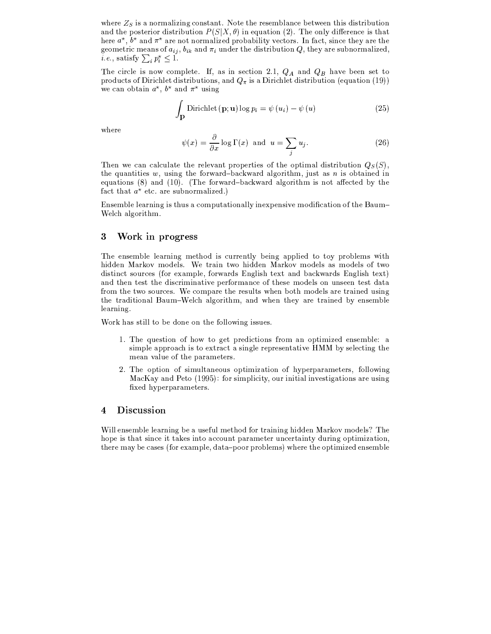$\mathcal{B}=\mathcal{B}$  , we can consider the substitution of  $\mathcal{B}$  . The substitution of  $\mathcal{B}$  $\mathbb{R}$  . It is the internal  $\mathbb{R}^n$  of  $\mathbb{R}^n$  is the  $\mathbb{R}^n$  value of  $\mathbb{R}^n$  is the internal parameter  $\mathbb{R}^n$  is the internal parameter  $\mathbb{R}^n$  is the internal parameter  $\mathbb{R}^n$  is the internal p Normer = R & R & S & S & R & S & R & London & R & London & London & London & Normer & Normer & Normer & Normer S & R & London & R & London & R & London & R & London & R & London & R & London & R & London & R & London & R SL<{ILQz<{NDKD@BQ\$<8H=\_AIH} >@?BA S ? 8H=? XV? =?<{K NxC<V?@BADNDKx@BGND@BI5= NR;NDC<{P8HKx<AxG=I5KDQ8OB@{<>?l  $\sum_{i=1}^{\infty}$  or  $\sum_{i=1}^{\infty}$   $\mathbb{R}^{n}$   $\mathbb{Z}^{n}$  ? 1

The circle is now complete. If, as in section 2.1,  $Q_A$  and  $Q_B$  have been set to products of Dirichlet distributions, and  $Q_\pi$  is a Dirichlet distribution (equation (19)) we can obtain  $a^*$ ,  $b^*$  and  $\pi^*$  using

$$
\int_{\mathbf{p}} \text{Dirichlet}(\mathbf{p}; \mathbf{u}) \log p_i = \psi(u_i) - \psi(u) \tag{25}
$$

where

$$
\psi(x) = \frac{\partial}{\partial x} \log \Gamma(x) \text{ and } u = \sum_{j} u_j. \tag{26}
$$

 $\tau$  and  $\tau$  is the state of the state of the state of the state of the state of the state of the state of the state of the state of the state of the state of the state of the state of the state of the state of the state the quantities w, using the forward-backward algorithm, just as n is obtained in equations (8) and (10). (The forward-backward algorithm is not affected by the  $\mathcal{S}_\text{a}$  is the set of the set of  $\mathcal{S}_\text{a}$  . In the set of  $\mathcal{S}_\text{a}$ 

Ensemble learning is thus a computationally inexpensive modification of the Baum-Welch algorithm.

### $\sim$  God  $\sim$  1 and  $\sim$  1 and  $\sim$  1 and  $\sim$  1 and  $\sim$  1 and  $\sim$  1 and 2 and 2 and 2 and 2 and 2 and 2 and 2 and 2 and 2 and 2 and 2 and 2 and 2 and 2 and 2 and 2 and 2 and 2 and 2 and 2 and 2 and 2 and 2 and 2 and 2

vC<<>=Ax<>QRGB<B<8HKx=@B=SQz<{NDCI|?y@BAz{KDKx<>=|NDBPyGJ<>@B=S8OB@B<>?yNDI\*NDIHPpKxILGB<>Q\$A @NxC hidden Markov models. We train two hidden Markov models as models of two distinct sources (for example, forwards English text and backwards English text) and then test the discriminative performance of these models on unseen test data from the two sources. We compare the results when both models are trained using  $W$  is the set of the set of the set of the set of  $W$  is the set of the set of the set of the set of the set of the set of the set of the set of the set of the set of the set of the set of the set of the set of the set o learning.

Work has still to be done on the following issues.

- ¯5] <sup>v</sup>C<w¢|<{ADND@BI5=yIH}CI NxI´SL<{NzKx<>?@B>ND@BI5=A\$}~KDI5Q 8O=yILNx@BQz@B><>?\*<>=AD<{QRGB< ) <sup>8</sup> simple approach is to extract a single representative  $HMM$  by selecting the mean value of the parameters.
- »\_] vC<´I5ND@BIL=IO} Ax@BQRBNM8H=\_<>ILAI5ND@BQz@B8OND@BIL=pIO}zCP|J<>KDJ8HKM8OQz<>Nx<>KDA;}~ILBBI@B=S  $\bf M$   $\bf V$  . In (1008)  $\bf f$  , ILE and  $\bf M$  is a set of  $\bf R$ fixed hyperparameters.

### 4 Discussion

¤y@BBL<>=\_AD<>QRGB<VB<8HKx=@B=SG3<98¶AD<k}«3Q\$<>NDC\_I?¸}~ILK,NDKk8H@B=@B=S¶C@B??<>=R8HKxLIH:QzI|?<{A vC< hope is that since it takes into account parameter uncertainty during optimization, NDC\_<>KD<VQ8;PVG3<j8HAx<>A9¦B}~I5K<>8HQz\_<5k?38HNk8;£JI|ILKKxILGB<>Q\$AM§ C<{KD<NxC<IL\_ND@BQz@B><>?¶<>=Ax<>QRGB<